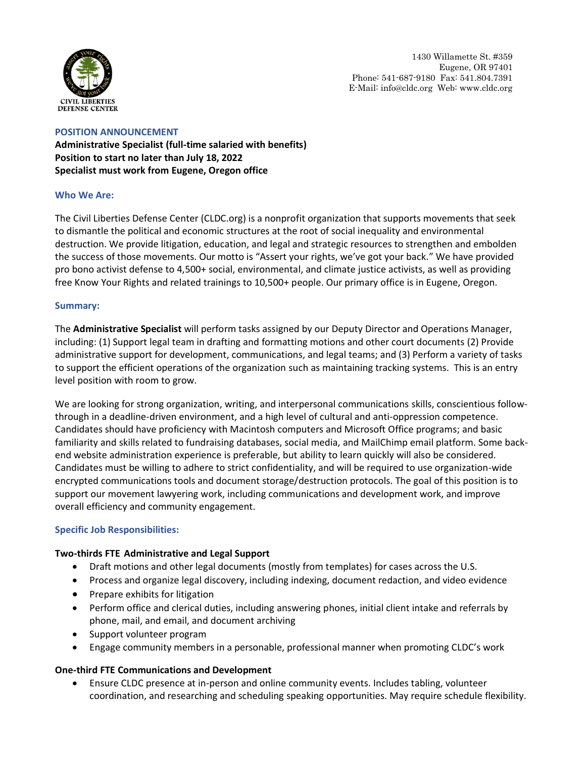

### **POSITION ANNOUNCEMENT**

**Administrative Specialist (full-time salaried with benefits) Position to start no later than July 18, 2022 Specialist must work from Eugene, Oregon office**

### **Who We Are:**

The Civil Liberties Defense Center (CLDC.org) is a nonprofit organization that supports movements that seek to dismantle the political and economic structures at the root of social inequality and environmental destruction. We provide litigation, education, and legal and strategic resources to strengthen and embolden the success of those movements. Our motto is "Assert your rights, we've got your back." We have provided pro bono activist defense to 4,500+ social, environmental, and climate justice activists, as well as providing free Know Your Rights and related trainings to 10,500+ people. Our primary office is in Eugene, Oregon.

### **Summary:**

The **Administrative Specialist** will perform tasks assigned by our Deputy Director and Operations Manager, including: (1) Support legal team in drafting and formatting motions and other court documents (2) Provide administrative support for development, communications, and legal teams; and (3) Perform a variety of tasks to support the efficient operations of the organization such as maintaining tracking systems. This is an entry level position with room to grow.

We are looking for strong organization, writing, and interpersonal communications skills, conscientious followthrough in a deadline-driven environment, and a high level of cultural and anti-oppression competence. Candidates should have proficiency with Macintosh computers and Microsoft Office programs; and basic familiarity and skills related to fundraising databases, social media, and MailChimp email platform. Some backend website administration experience is preferable, but ability to learn quickly will also be considered. Candidates must be willing to adhere to strict confidentiality, and will be required to use organization-wide encrypted communications tools and document storage/destruction protocols. The goal of this position is to support our movement lawyering work, including communications and development work, and improve overall efficiency and community engagement.

# **Specific Job Responsibilities:**

# **Two-thirds FTE Administrative and Legal Support**

- Draft motions and other legal documents (mostly from templates) for cases across the U.S.
- Process and organize legal discovery, including indexing, document redaction, and video evidence
- Prepare exhibits for litigation
- Perform office and clerical duties, including answering phones, initial client intake and referrals by phone, mail, and email, and document archiving
- Support volunteer program
- Engage community members in a personable, professional manner when promoting CLDC's work

# **One-third FTE Communications and Development**

• Ensure CLDC presence at in-person and online community events. Includes tabling, volunteer coordination, and researching and scheduling speaking opportunities. May require schedule flexibility.